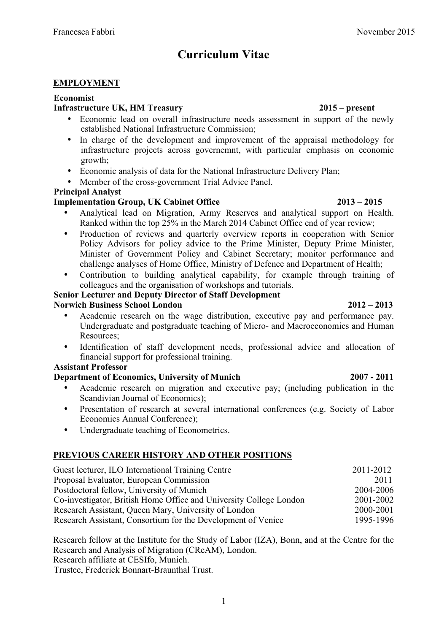# **Curriculum Vitae**

## **EMPLOYMENT**

#### **Economist**

## **Infrastructure UK, HM Treasury 2015 – present**

- Economic lead on overall infrastructure needs assessment in support of the newly established National Infrastructure Commission;
- In charge of the development and improvement of the appraisal methodology for infrastructure projects across governemnt, with particular emphasis on economic growth;
- Economic analysis of data for the National Infrastructure Delivery Plan;
- Member of the cross-government Trial Advice Panel.

### **Principal Analyst**

## **Implementation Group, UK Cabinet Office 2013 – 2015**

- Analytical lead on Migration, Army Reserves and analytical support on Health. Ranked within the top 25% in the March 2014 Cabinet Office end of year review;
- Production of reviews and quarterly overview reports in cooperation with Senior Policy Advisors for policy advice to the Prime Minister, Deputy Prime Minister, Minister of Government Policy and Cabinet Secretary; monitor performance and challenge analyses of Home Office, Ministry of Defence and Department of Health;
- Contribution to building analytical capability, for example through training of colleagues and the organisation of workshops and tutorials.

#### **Senior Lecturer and Deputy Director of Staff Development Norwich Business School London 2012 – 2013**

- Academic research on the wage distribution, executive pay and performance pay. Undergraduate and postgraduate teaching of Micro- and Macroeconomics and Human Resources;
- Identification of staff development needs, professional advice and allocation of financial support for professional training.

### **Assistant Professor**

## **Department of Economics, University of Munich 2007 - 2011**

- Academic research on migration and executive pay; (including publication in the Scandivian Journal of Economics);
- Presentation of research at several international conferences (e.g. Society of Labor Economics Annual Conference);
- Undergraduate teaching of Econometrics.

## **PREVIOUS CAREER HISTORY AND OTHER POSITIONS**

| Guest lecturer, ILO International Training Centre                  | 2011-2012 |
|--------------------------------------------------------------------|-----------|
| Proposal Evaluator, European Commission                            | 2011      |
| Postdoctoral fellow, University of Munich                          | 2004-2006 |
| Co-investigator, British Home Office and University College London | 2001-2002 |
| Research Assistant, Queen Mary, University of London               | 2000-2001 |
| Research Assistant, Consortium for the Development of Venice       | 1995-1996 |

Research fellow at the Institute for the Study of Labor (IZA), Bonn, and at the Centre for the Research and Analysis of Migration (CReAM), London. Research affiliate at CESIfo, Munich.

Trustee, Frederick Bonnart-Braunthal Trust.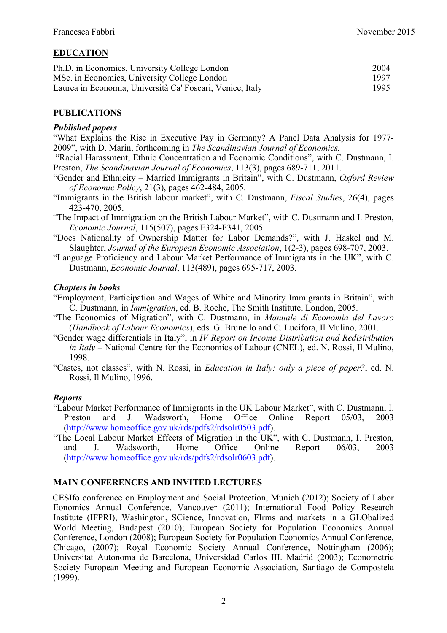## **EDUCATION**

| Ph.D. in Economics, University College London             | 2004 |
|-----------------------------------------------------------|------|
| MSc. in Economics, University College London              | 1997 |
| Laurea in Economia, Università Ca' Foscari, Venice, Italy | 1995 |

### **PUBLICATIONS**

#### *Published papers*

"What Explains the Rise in Executive Pay in Germany? A Panel Data Analysis for 1977- 2009", with D. Marin, forthcoming in *The Scandinavian Journal of Economics.*

"Racial Harassment, Ethnic Concentration and Economic Conditions", with C. Dustmann, I. Preston, *The Scandinavian Journal of Economics*, 113(3), pages 689-711, 2011.

- "Gender and Ethnicity Married Immigrants in Britain", with C. Dustmann, *Oxford Review of Economic Policy*, 21(3), pages 462-484, 2005.
- "Immigrants in the British labour market", with C. Dustmann, *Fiscal Studies*, 26(4), pages 423-470, 2005.
- "The Impact of Immigration on the British Labour Market", with C. Dustmann and I. Preston, *Economic Journal*, 115(507), pages F324-F341, 2005.
- "Does Nationality of Ownership Matter for Labor Demands?", with J. Haskel and M. Slaughter, *Journal of the European Economic Association*, 1(2-3), pages 698-707, 2003.
- "Language Proficiency and Labour Market Performance of Immigrants in the UK", with C. Dustmann, *Economic Journal*, 113(489), pages 695-717, 2003.

#### *Chapters in books*

- "Employment, Participation and Wages of White and Minority Immigrants in Britain", with C. Dustmann, in *Immigration*, ed. B. Roche, The Smith Institute, London, 2005.
- "The Economics of Migration", with C. Dustmann, in *Manuale di Economia del Lavoro* (*Handbook of Labour Economics*), eds. G. Brunello and C. Lucifora, Il Mulino, 2001.
- "Gender wage differentials in Italy", in *IV Report on Income Distribution and Redistribution in Italy* – National Centre for the Economics of Labour (CNEL), ed. N. Rossi, Il Mulino, 1998.
- "Castes, not classes", with N. Rossi, in *Education in Italy: only a piece of paper?*, ed. N. Rossi, Il Mulino, 1996.

#### *Reports*

- "Labour Market Performance of Immigrants in the UK Labour Market", with C. Dustmann, I. Preston and J. Wadsworth, Home Office Online Report 05/03, 2003 (http://www.homeoffice.gov.uk/rds/pdfs2/rdsolr0503.pdf).
- "The Local Labour Market Effects of Migration in the UK", with C. Dustmann, I. Preston, and J. Wadsworth, Home Office Online Report 06/03, 2003 (http://www.homeoffice.gov.uk/rds/pdfs2/rdsolr0603.pdf).

### **MAIN CONFERENCES AND INVITED LECTURES**

CESIfo conference on Employment and Social Protection, Munich (2012); Society of Labor Eonomics Annual Conference, Vancouver (2011); International Food Policy Research Institute (IFPRI), Washington, SCience, Innovation, FIrms and markets in a GLObalized World Meeting, Budapest (2010); European Society for Population Economics Annual Conference, London (2008); European Society for Population Economics Annual Conference, Chicago, (2007); Royal Economic Society Annual Conference, Nottingham (2006); Universitat Autonoma de Barcelona, Universidad Carlos III. Madrid (2003); Econometric Society European Meeting and European Economic Association, Santiago de Compostela (1999).